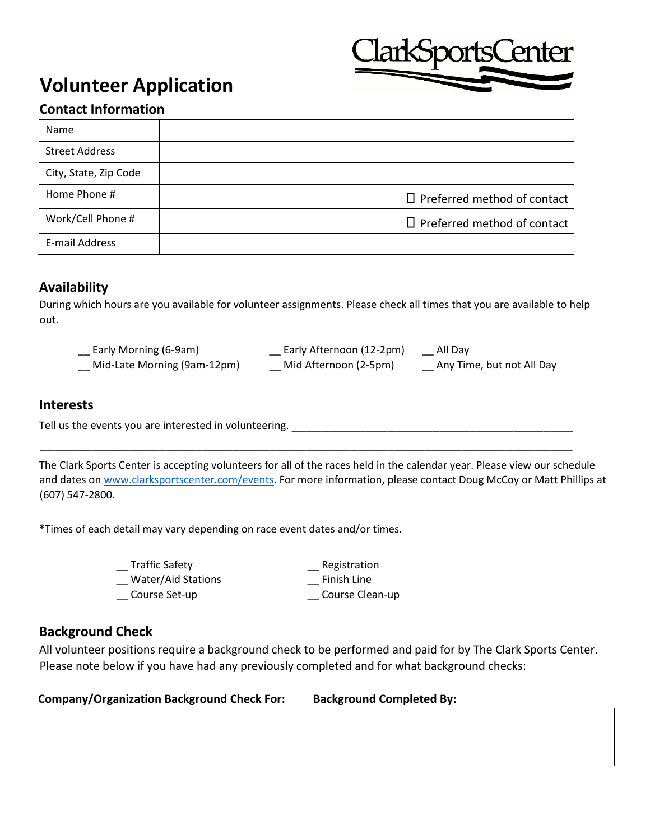# **Volunteer Application**



# **Contact Information**

| <b>Name</b>           |                                    |
|-----------------------|------------------------------------|
| <b>Street Address</b> |                                    |
| City, State, Zip Code |                                    |
| Home Phone #          | $\Box$ Preferred method of contact |
| Work/Cell Phone #     | $\Box$ Preferred method of contact |
| E-mail Address        |                                    |

## **Availability**

During which hours are you available for volunteer assignments. Please check all times that you are available to help out.

| Early Morning (6-9am)       | Early Afternoon (12-2pm) | All Day                   |
|-----------------------------|--------------------------|---------------------------|
| Mid-Late Morning (9am-12pm) | Mid Afternoon (2-5pm)    | Any Time, but not All Day |

## **Interests**

Tell us the events you are interested in volunteering.

The Clark Sports Center is accepting volunteers for all of the races held in the calendar year. Please view our schedule and dates o[n www.clarksportscenter.com/e](http://www.clarksportscenter.com/)vents. For more information, please contact Doug McCoy or Matt Phillips at (607) 547-2800.

\_\_\_\_\_\_\_\_\_\_\_\_\_\_\_\_\_\_\_\_\_\_\_\_\_\_\_\_\_\_\_\_\_\_\_\_\_\_\_\_\_\_\_\_\_\_\_\_\_\_\_\_\_\_\_\_\_\_\_\_\_\_\_\_\_\_\_\_\_\_\_\_

\*Times of each detail may vary depending on race event dates and/or times.

| <b>Traffic Safety</b>     | Registration    |
|---------------------------|-----------------|
| <b>Water/Aid Stations</b> | Finish Line     |
| Course Set-up             | Course Clean-up |

## **Background Check**

All volunteer positions require a background check to be performed and paid for by The Clark Sports Center. Please note below if you have had any previously completed and for what background checks:

#### **Company/Organization Background Check For: Background Completed By:**